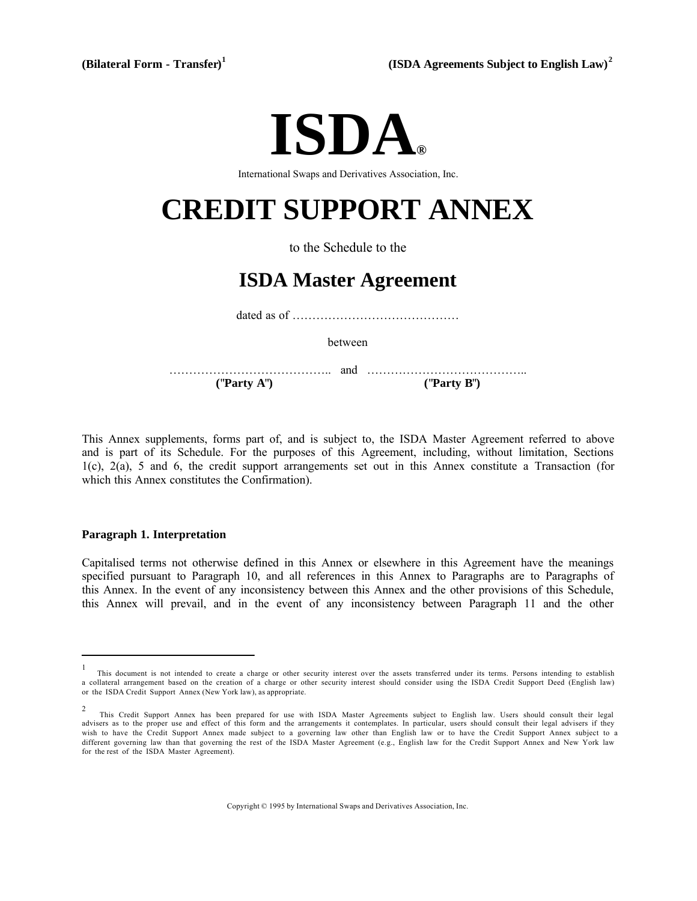

International Swaps and Derivatives Association, Inc.

# **CREDIT SUPPORT ANNEX**

to the Schedule to the

# **ISDA Master Agreement**

dated as of ……………………………………

between

………………………………….. and ………………………………….. **(**"**Party A**"**) (**"**Party B**"**)**

This Annex supplements, forms part of, and is subject to, the ISDA Master Agreement referred to above and is part of its Schedule. For the purposes of this Agreement, including, without limitation, Sections 1(c), 2(a), 5 and 6, the credit support arrangements set out in this Annex constitute a Transaction (for which this Annex constitutes the Confirmation).

#### **Paragraph 1. Interpretation**

Capitalised terms not otherwise defined in this Annex or elsewhere in this Agreement have the meanings specified pursuant to Paragraph 10, and all references in this Annex to Paragraphs are to Paragraphs of this Annex. In the event of any inconsistency between this Annex and the other provisions of this Schedule, this Annex will prevail, and in the event of any inconsistency between Paragraph 11 and the other

Copyright © 1995 by International Swaps and Derivatives Association, Inc.

<sup>1</sup> This document is not intended to create a charge or other security interest over the assets transferred under its terms. Persons intending to establish a collateral arrangement based on the creation of a charge or other security interest should consider using the ISDA Credit Support Deed (English law) or the ISDA Credit Support Annex (New York law), as appropriate.

<sup>2</sup> This Credit Support Annex has been prepared for use with ISDA Master Agreements subject to English law. Users should consult their legal advisers as to the proper use and effect of this form and the arrangements it contemplates. In particular, users should consult their legal advisers if they wish to have the Credit Support Annex made subject to a governing law other than English law or to have the Credit Support Annex subject to a different governing law than that governing the rest of the ISDA Master Agreement (e.g., English law for the Credit Support Annex and New York law for the rest of the ISDA Master Agreement).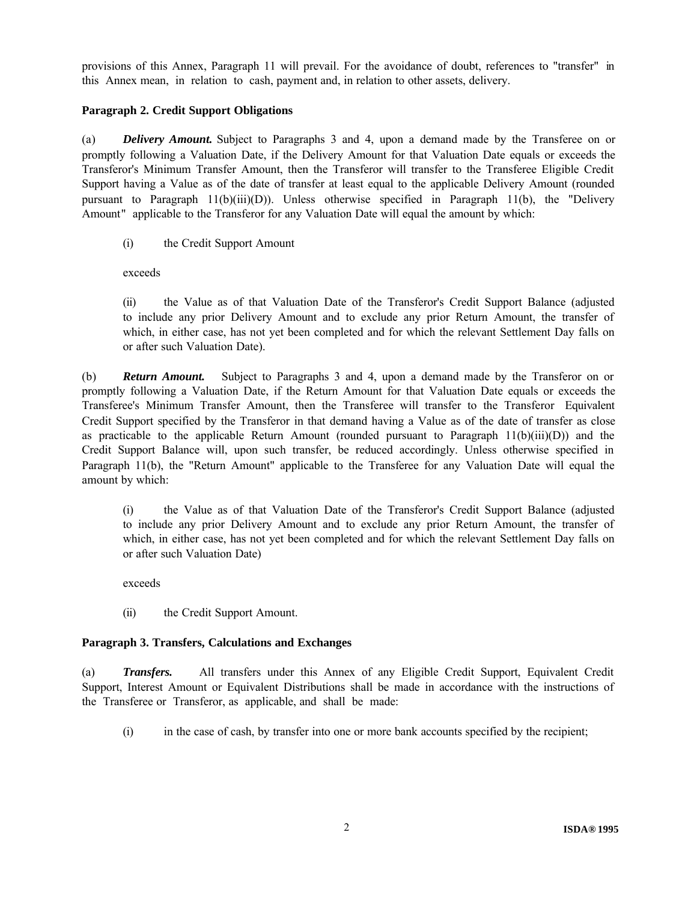provisions of this Annex, Paragraph 11 will prevail. For the avoidance of doubt, references to "transfer" in this Annex mean, in relation to cash, payment and, in relation to other assets, delivery.

### **Paragraph 2. Credit Support Obligations**

(a) *Delivery Amount.* Subject to Paragraphs 3 and 4, upon a demand made by the Transferee on or promptly following a Valuation Date, if the Delivery Amount for that Valuation Date equals or exceeds the Transferor's Minimum Transfer Amount, then the Transferor will transfer to the Transferee Eligible Credit Support having a Value as of the date of transfer at least equal to the applicable Delivery Amount (rounded pursuant to Paragraph 11(b)(iii)(D)). Unless otherwise specified in Paragraph 11(b), the "Delivery Amount" applicable to the Transferor for any Valuation Date will equal the amount by which:

(i) the Credit Support Amount

exceeds

(ii) the Value as of that Valuation Date of the Transferor's Credit Support Balance (adjusted to include any prior Delivery Amount and to exclude any prior Return Amount, the transfer of which, in either case, has not yet been completed and for which the relevant Settlement Day falls on or after such Valuation Date).

(b) *Return Amount.* Subject to Paragraphs 3 and 4, upon a demand made by the Transferor on or promptly following a Valuation Date, if the Return Amount for that Valuation Date equals or exceeds the Transferee's Minimum Transfer Amount, then the Transferee will transfer to the Transferor Equivalent Credit Support specified by the Transferor in that demand having a Value as of the date of transfer as close as practicable to the applicable Return Amount (rounded pursuant to Paragraph 11(b)(iii)(D)) and the Credit Support Balance will, upon such transfer, be reduced accordingly. Unless otherwise specified in Paragraph 11(b), the "Return Amount" applicable to the Transferee for any Valuation Date will equal the amount by which:

(i) the Value as of that Valuation Date of the Transferor's Credit Support Balance (adjusted to include any prior Delivery Amount and to exclude any prior Return Amount, the transfer of which, in either case, has not yet been completed and for which the relevant Settlement Day falls on or after such Valuation Date)

exceeds

(ii) the Credit Support Amount.

# **Paragraph 3. Transfers, Calculations and Exchanges**

(a) *Transfers.* All transfers under this Annex of any Eligible Credit Support, Equivalent Credit Support, Interest Amount or Equivalent Distributions shall be made in accordance with the instructions of the Transferee or Transferor, as applicable, and shall be made:

(i) in the case of cash, by transfer into one or more bank accounts specified by the recipient;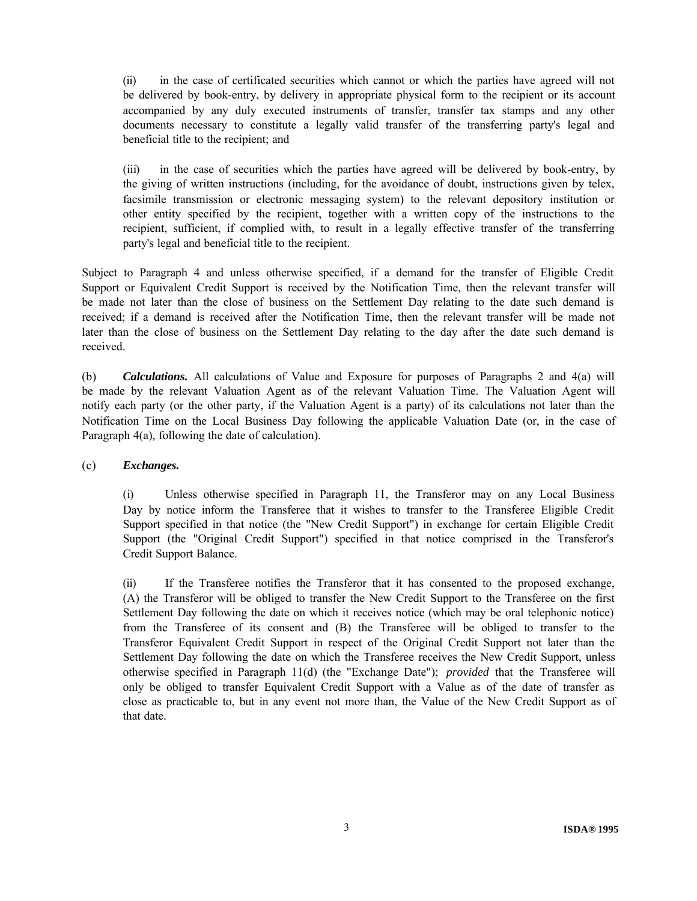(ii) in the case of certificated securities which cannot or which the parties have agreed will not be delivered by book-entry, by delivery in appropriate physical form to the recipient or its account accompanied by any duly executed instruments of transfer, transfer tax stamps and any other documents necessary to constitute a legally valid transfer of the transferring party's legal and beneficial title to the recipient; and

(iii) in the case of securities which the parties have agreed will be delivered by book-entry, by the giving of written instructions (including, for the avoidance of doubt, instructions given by telex, facsimile transmission or electronic messaging system) to the relevant depository institution or other entity specified by the recipient, together with a written copy of the instructions to the recipient, sufficient, if complied with, to result in a legally effective transfer of the transferring party's legal and beneficial title to the recipient.

Subject to Paragraph 4 and unless otherwise specified, if a demand for the transfer of Eligible Credit Support or Equivalent Credit Support is received by the Notification Time, then the relevant transfer will be made not later than the close of business on the Settlement Day relating to the date such demand is received; if a demand is received after the Notification Time, then the relevant transfer will be made not later than the close of business on the Settlement Day relating to the day after the date such demand is received.

(b) *Calculations.* All calculations of Value and Exposure for purposes of Paragraphs 2 and 4(a) will be made by the relevant Valuation Agent as of the relevant Valuation Time. The Valuation Agent will notify each party (or the other party, if the Valuation Agent is a party) of its calculations not later than the Notification Time on the Local Business Day following the applicable Valuation Date (or, in the case of Paragraph 4(a), following the date of calculation).

# (c) *Exchanges.*

(i) Unless otherwise specified in Paragraph 11, the Transferor may on any Local Business Day by notice inform the Transferee that it wishes to transfer to the Transferee Eligible Credit Support specified in that notice (the "New Credit Support") in exchange for certain Eligible Credit Support (the "Original Credit Support") specified in that notice comprised in the Transferor's Credit Support Balance.

(ii) If the Transferee notifies the Transferor that it has consented to the proposed exchange, (A) the Transferor will be obliged to transfer the New Credit Support to the Transferee on the first Settlement Day following the date on which it receives notice (which may be oral telephonic notice) from the Transferee of its consent and (B) the Transferee will be obliged to transfer to the Transferor Equivalent Credit Support in respect of the Original Credit Support not later than the Settlement Day following the date on which the Transferee receives the New Credit Support, unless otherwise specified in Paragraph 11(d) (the "Exchange Date"); *provided* that the Transferee will only be obliged to transfer Equivalent Credit Support with a Value as of the date of transfer as close as practicable to, but in any event not more than, the Value of the New Credit Support as of that date.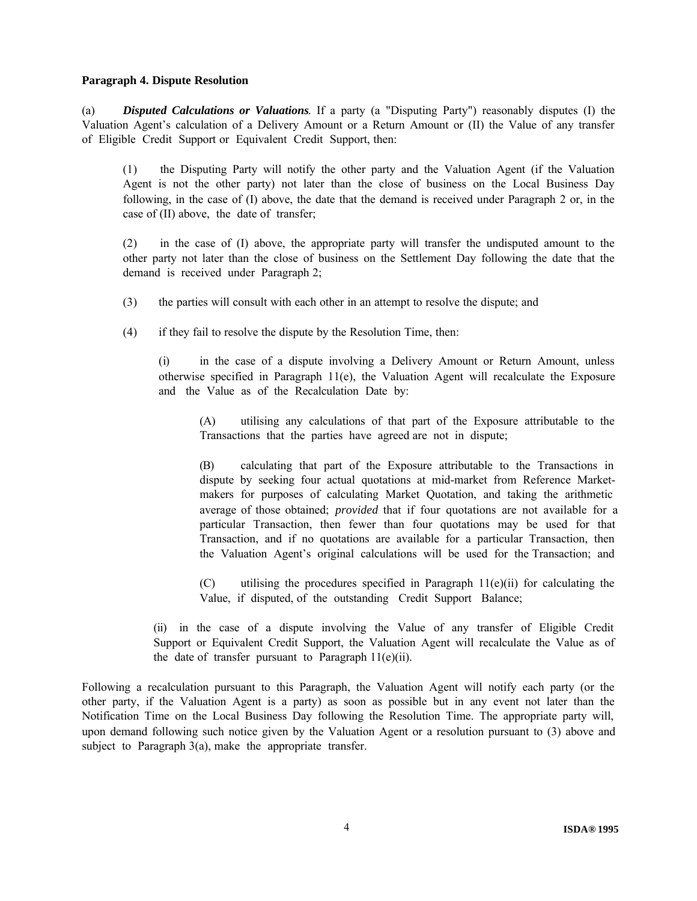#### **Paragraph 4. Dispute Resolution**

(a) *Disputed Calculations or Valuations*. If a party (a "Disputing Party") reasonably disputes (I) the Valuation Agent's calculation of a Delivery Amount or a Return Amount or (II) the Value of any transfer of Eligible Credit Support or Equivalent Credit Support, then:

(1) the Disputing Party will notify the other party and the Valuation Agent (if the Valuation Agent is not the other party) not later than the close of business on the Local Business Day following, in the case of (I) above, the date that the demand is received under Paragraph 2 or, in the case of (II) above, the date of transfer;

(2) in the case of (I) above, the appropriate party will transfer the undisputed amount to the other party not later than the close of business on the Settlement Day following the date that the demand is received under Paragraph 2;

(3) the parties will consult with each other in an attempt to resolve the dispute; and

(4) if they fail to resolve the dispute by the Resolution Time, then:

(i) in the case of a dispute involving a Delivery Amount or Return Amount, unless otherwise specified in Paragraph 11(e), the Valuation Agent will recalculate the Exposure and the Value as of the Recalculation Date by:

(A) utilising any calculations of that part of the Exposure attributable to the Transactions that the parties have agreed are not in dispute;

(B) calculating that part of the Exposure attributable to the Transactions in dispute by seeking four actual quotations at mid-market from Reference Marketmakers for purposes of calculating Market Quotation, and taking the arithmetic average of those obtained; *provided* that if four quotations are not available for a particular Transaction, then fewer than four quotations may be used for that Transaction, and if no quotations are available for a particular Transaction, then the Valuation Agent's original calculations will be used for the Transaction; and

(C) utilising the procedures specified in Paragraph  $11(e)(ii)$  for calculating the Value, if disputed, of the outstanding Credit Support Balance;

(ii) in the case of a dispute involving the Value of any transfer of Eligible Credit Support or Equivalent Credit Support, the Valuation Agent will recalculate the Value as of the date of transfer pursuant to Paragraph  $11(e)(ii)$ .

Following a recalculation pursuant to this Paragraph, the Valuation Agent will notify each party (or the other party, if the Valuation Agent is a party) as soon as possible but in any event not later than the Notification Time on the Local Business Day following the Resolution Time. The appropriate party will, upon demand following such notice given by the Valuation Agent or a resolution pursuant to (3) above and subject to Paragraph 3(a), make the appropriate transfer.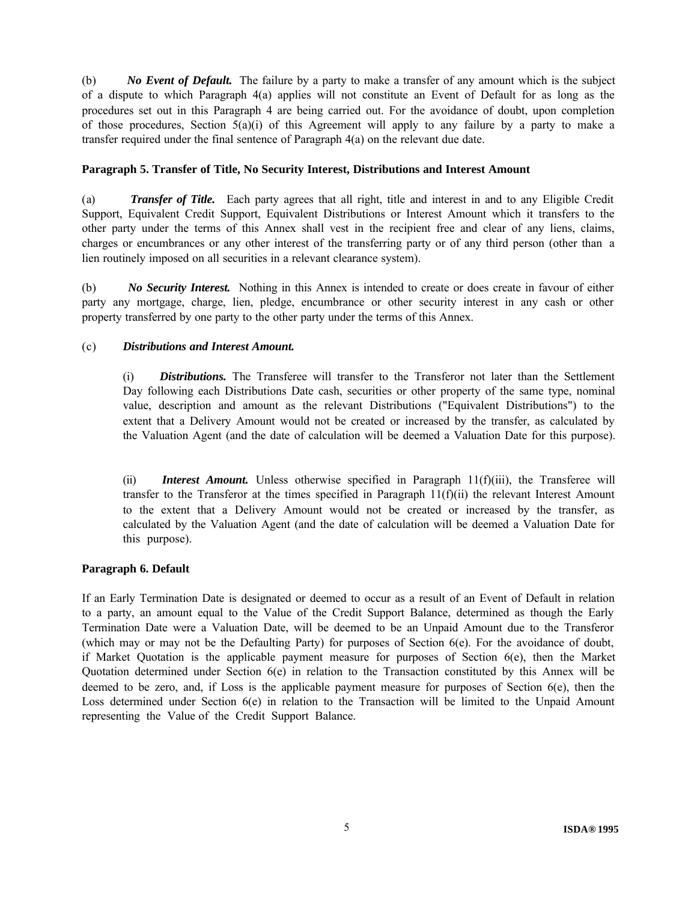(b) *No Event of Default.* The failure by a party to make a transfer of any amount which is the subject of a dispute to which Paragraph 4(a) applies will not constitute an Event of Default for as long as the procedures set out in this Paragraph 4 are being carried out. For the avoidance of doubt, upon completion of those procedures, Section 5(a)(i) of this Agreement will apply to any failure by a party to make a transfer required under the final sentence of Paragraph 4(a) on the relevant due date.

# **Paragraph 5. Transfer of Title, No Security Interest, Distributions and Interest Amount**

(a) *Transfer of Title.* Each party agrees that all right, title and interest in and to any Eligible Credit Support, Equivalent Credit Support, Equivalent Distributions or Interest Amount which it transfers to the other party under the terms of this Annex shall vest in the recipient free and clear of any liens, claims, charges or encumbrances or any other interest of the transferring party or of any third person (other than a lien routinely imposed on all securities in a relevant clearance system).

(b) *No Security Interest.* Nothing in this Annex is intended to create or does create in favour of either party any mortgage, charge, lien, pledge, encumbrance or other security interest in any cash or other property transferred by one party to the other party under the terms of this Annex.

#### (c) *Distributions and Interest Amount.*

(i) *Distributions.* The Transferee will transfer to the Transferor not later than the Settlement Day following each Distributions Date cash, securities or other property of the same type, nominal value, description and amount as the relevant Distributions ("Equivalent Distributions") to the extent that a Delivery Amount would not be created or increased by the transfer, as calculated by the Valuation Agent (and the date of calculation will be deemed a Valuation Date for this purpose).

(ii) *Interest Amount.* Unless otherwise specified in Paragraph 11(f)(iii), the Transferee will transfer to the Transferor at the times specified in Paragraph 11(f)(ii) the relevant Interest Amount to the extent that a Delivery Amount would not be created or increased by the transfer, as calculated by the Valuation Agent (and the date of calculation will be deemed a Valuation Date for this purpose).

#### **Paragraph 6. Default**

If an Early Termination Date is designated or deemed to occur as a result of an Event of Default in relation to a party, an amount equal to the Value of the Credit Support Balance, determined as though the Early Termination Date were a Valuation Date, will be deemed to be an Unpaid Amount due to the Transferor (which may or may not be the Defaulting Party) for purposes of Section 6(e). For the avoidance of doubt, if Market Quotation is the applicable payment measure for purposes of Section 6(e), then the Market Quotation determined under Section  $6(e)$  in relation to the Transaction constituted by this Annex will be deemed to be zero, and, if Loss is the applicable payment measure for purposes of Section 6(e), then the Loss determined under Section 6(e) in relation to the Transaction will be limited to the Unpaid Amount representing the Value of the Credit Support Balance.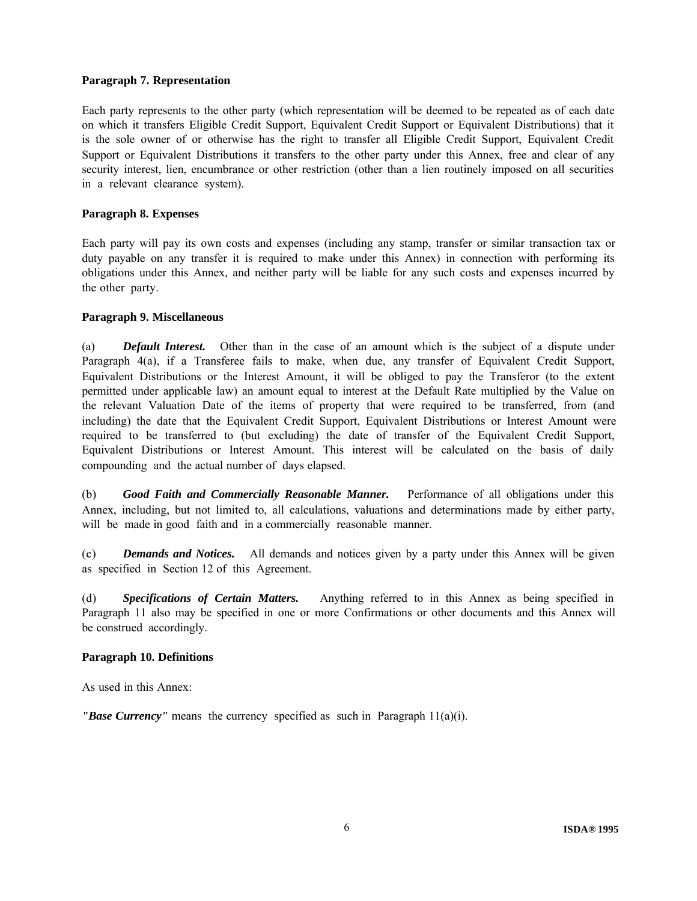#### **Paragraph 7. Representation**

Each party represents to the other party (which representation will be deemed to be repeated as of each date on which it transfers Eligible Credit Support, Equivalent Credit Support or Equivalent Distributions) that it is the sole owner of or otherwise has the right to transfer all Eligible Credit Support, Equivalent Credit Support or Equivalent Distributions it transfers to the other party under this Annex, free and clear of any security interest, lien, encumbrance or other restriction (other than a lien routinely imposed on all securities in a relevant clearance system).

#### **Paragraph 8. Expenses**

Each party will pay its own costs and expenses (including any stamp, transfer or similar transaction tax or duty payable on any transfer it is required to make under this Annex) in connection with performing its obligations under this Annex, and neither party will be liable for any such costs and expenses incurred by the other party.

#### **Paragraph 9. Miscellaneous**

(a) *Default Interest.* Other than in the case of an amount which is the subject of a dispute under Paragraph 4(a), if a Transferee fails to make, when due, any transfer of Equivalent Credit Support, Equivalent Distributions or the Interest Amount, it will be obliged to pay the Transferor (to the extent permitted under applicable law) an amount equal to interest at the Default Rate multiplied by the Value on the relevant Valuation Date of the items of property that were required to be transferred, from (and including) the date that the Equivalent Credit Support, Equivalent Distributions or Interest Amount were required to be transferred to (but excluding) the date of transfer of the Equivalent Credit Support, Equivalent Distributions or Interest Amount. This interest will be calculated on the basis of daily compounding and the actual number of days elapsed.

(b) *Good Faith and Commercially Reasonable Manner.* Performance of all obligations under this Annex, including, but not limited to, all calculations, valuations and determinations made by either party, will be made in good faith and in a commercially reasonable manner.

(c) *Demands and Notices.* All demands and notices given by a party under this Annex will be given as specified in Section 12 of this Agreement.

(d) *Specifications of Certain Matters.* Anything referred to in this Annex as being specified in Paragraph 11 also may be specified in one or more Confirmations or other documents and this Annex will be construed accordingly.

#### **Paragraph 10. Definitions**

As used in this Annex:

*"Base Currency"* means the currency specified as such in Paragraph 11(a)(i).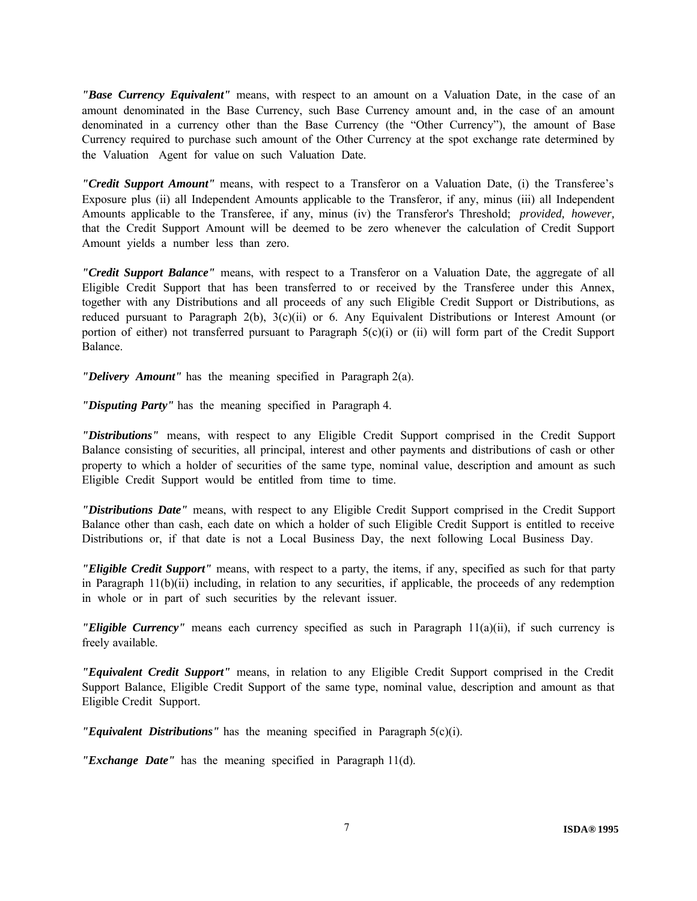*"Base Currency Equivalent"* means, with respect to an amount on a Valuation Date, in the case of an amount denominated in the Base Currency, such Base Currency amount and, in the case of an amount denominated in a currency other than the Base Currency (the "Other Currency"), the amount of Base Currency required to purchase such amount of the Other Currency at the spot exchange rate determined by the Valuation Agent for value on such Valuation Date.

*"Credit Support Amount"* means, with respect to a Transferor on a Valuation Date, (i) the Transferee's Exposure plus (ii) all Independent Amounts applicable to the Transferor, if any, minus (iii) all Independent Amounts applicable to the Transferee, if any, minus (iv) the Transferor's Threshold; *provided, however,* that the Credit Support Amount will be deemed to be zero whenever the calculation of Credit Support Amount yields a number less than zero.

*"Credit Support Balance"* means, with respect to a Transferor on a Valuation Date, the aggregate of all Eligible Credit Support that has been transferred to or received by the Transferee under this Annex, together with any Distributions and all proceeds of any such Eligible Credit Support or Distributions, as reduced pursuant to Paragraph 2(b), 3(c)(ii) or 6. Any Equivalent Distributions or Interest Amount (or portion of either) not transferred pursuant to Paragraph 5(c)(i) or (ii) will form part of the Credit Support Balance.

*"Delivery Amount"* has the meaning specified in Paragraph 2(a).

*"Disputing Party"* has the meaning specified in Paragraph 4.

*"Distributions"* means, with respect to any Eligible Credit Support comprised in the Credit Support Balance consisting of securities, all principal, interest and other payments and distributions of cash or other property to which a holder of securities of the same type, nominal value, description and amount as such Eligible Credit Support would be entitled from time to time.

*"Distributions Date"* means, with respect to any Eligible Credit Support comprised in the Credit Support Balance other than cash, each date on which a holder of such Eligible Credit Support is entitled to receive Distributions or, if that date is not a Local Business Day, the next following Local Business Day.

*"Eligible Credit Support"* means, with respect to a party, the items, if any, specified as such for that party in Paragraph 11(b)(ii) including, in relation to any securities, if applicable, the proceeds of any redemption in whole or in part of such securities by the relevant issuer.

*"Eligible Currency"* means each currency specified as such in Paragraph 11(a)(ii), if such currency is freely available.

*"Equivalent Credit Support"* means, in relation to any Eligible Credit Support comprised in the Credit Support Balance, Eligible Credit Support of the same type, nominal value, description and amount as that Eligible Credit Support.

*"Equivalent Distributions"* has the meaning specified in Paragraph 5(c)(i).

*"Exchange Date"* has the meaning specified in Paragraph 11(d).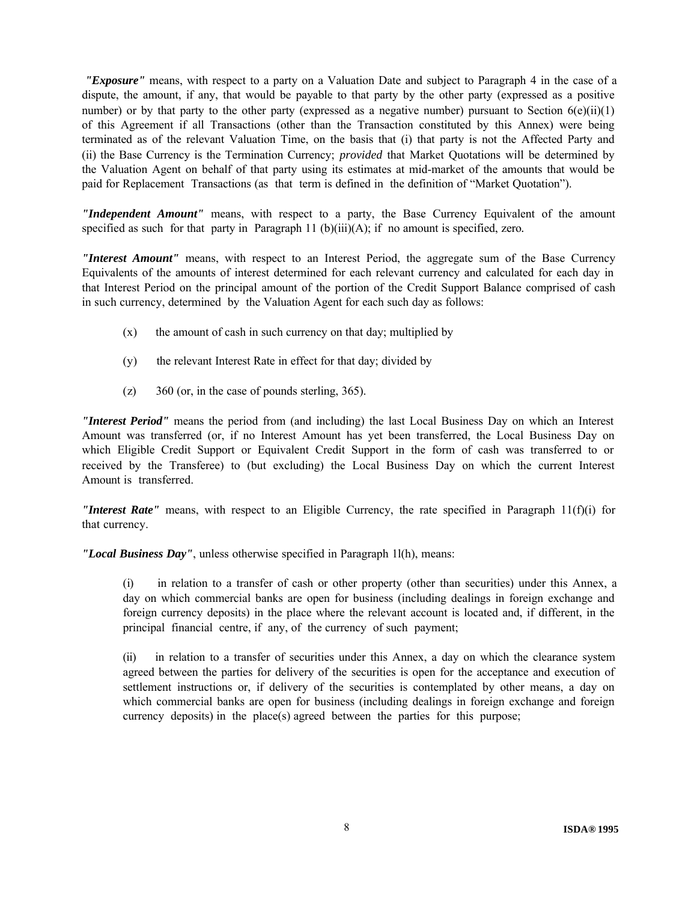*"Exposure"* means, with respect to a party on a Valuation Date and subject to Paragraph 4 in the case of a dispute, the amount, if any, that would be payable to that party by the other party (expressed as a positive number) or by that party to the other party (expressed as a negative number) pursuant to Section  $6(e)(ii)(1)$ of this Agreement if all Transactions (other than the Transaction constituted by this Annex) were being terminated as of the relevant Valuation Time, on the basis that (i) that party is not the Affected Party and (ii) the Base Currency is the Termination Currency; *provided* that Market Quotations will be determined by the Valuation Agent on behalf of that party using its estimates at mid-market of the amounts that would be paid for Replacement Transactions (as that term is defined in the definition of "Market Quotation").

*"Independent Amount"* means, with respect to a party, the Base Currency Equivalent of the amount specified as such for that party in Paragraph 11 (b)(iii)(A); if no amount is specified, zero.

*"Interest Amount"* means, with respect to an Interest Period, the aggregate sum of the Base Currency Equivalents of the amounts of interest determined for each relevant currency and calculated for each day in that Interest Period on the principal amount of the portion of the Credit Support Balance comprised of cash in such currency, determined by the Valuation Agent for each such day as follows:

- $(x)$  the amount of cash in such currency on that day; multiplied by
- (y) the relevant Interest Rate in effect for that day; divided by
- (z) 360 (or, in the case of pounds sterling, 365).

*"Interest Period"* means the period from (and including) the last Local Business Day on which an Interest Amount was transferred (or, if no Interest Amount has yet been transferred, the Local Business Day on which Eligible Credit Support or Equivalent Credit Support in the form of cash was transferred to or received by the Transferee) to (but excluding) the Local Business Day on which the current Interest Amount is transferred.

*"Interest Rate"* means, with respect to an Eligible Currency, the rate specified in Paragraph 11(f)(i) for that currency.

*"Local Business Day"*, unless otherwise specified in Paragraph 1l(h), means:

(i) in relation to a transfer of cash or other property (other than securities) under this Annex, a day on which commercial banks are open for business (including dealings in foreign exchange and foreign currency deposits) in the place where the relevant account is located and, if different, in the principal financial centre, if any, of the currency of such payment;

(ii) in relation to a transfer of securities under this Annex, a day on which the clearance system agreed between the parties for delivery of the securities is open for the acceptance and execution of settlement instructions or, if delivery of the securities is contemplated by other means, a day on which commercial banks are open for business (including dealings in foreign exchange and foreign currency deposits) in the place(s) agreed between the parties for this purpose;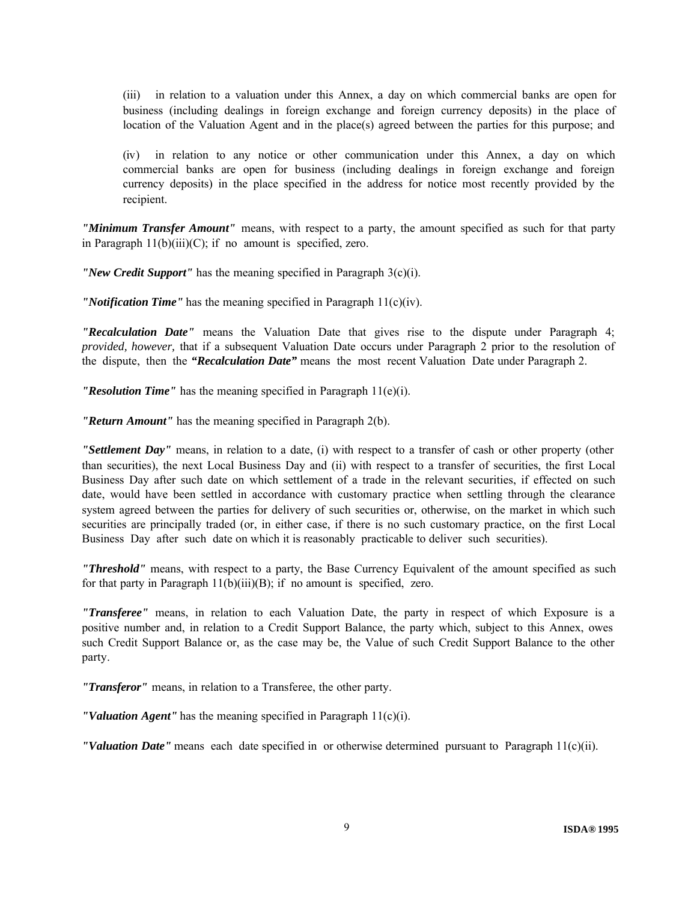(iii) in relation to a valuation under this Annex, a day on which commercial banks are open for business (including dealings in foreign exchange and foreign currency deposits) in the place of location of the Valuation Agent and in the place(s) agreed between the parties for this purpose; and

(iv) in relation to any notice or other communication under this Annex, a day on which commercial banks are open for business (including dealings in foreign exchange and foreign currency deposits) in the place specified in the address for notice most recently provided by the recipient.

*"Minimum Transfer Amount"* means, with respect to a party, the amount specified as such for that party in Paragraph  $11(b)(iii)(C)$ ; if no amount is specified, zero.

*"New Credit Support"* has the meaning specified in Paragraph 3(c)(i).

*"Notification Time"* has the meaning specified in Paragraph 11(c)(iv).

*"Recalculation Date"* means the Valuation Date that gives rise to the dispute under Paragraph 4; *provided, however,* that if a subsequent Valuation Date occurs under Paragraph 2 prior to the resolution of the dispute, then the *"Recalculation Date"* means the most recent Valuation Date under Paragraph 2.

*"Resolution Time"* has the meaning specified in Paragraph 11(e)(i).

*"Return Amount"* has the meaning specified in Paragraph 2(b).

*"Settlement Day"* means, in relation to a date, (i) with respect to a transfer of cash or other property (other than securities), the next Local Business Day and (ii) with respect to a transfer of securities, the first Local Business Day after such date on which settlement of a trade in the relevant securities, if effected on such date, would have been settled in accordance with customary practice when settling through the clearance system agreed between the parties for delivery of such securities or, otherwise, on the market in which such securities are principally traded (or, in either case, if there is no such customary practice, on the first Local Business Day after such date on which it is reasonably practicable to deliver such securities).

*"Threshold"* means, with respect to a party, the Base Currency Equivalent of the amount specified as such for that party in Paragraph  $11(b)(iii)(B)$ ; if no amount is specified, zero.

*"Transferee"* means, in relation to each Valuation Date, the party in respect of which Exposure is a positive number and, in relation to a Credit Support Balance, the party which, subject to this Annex, owes such Credit Support Balance or, as the case may be, the Value of such Credit Support Balance to the other party.

*"Transferor"* means, in relation to a Transferee, the other party.

*"Valuation Agent"* has the meaning specified in Paragraph 11(c)(i).

*"Valuation Date"* means each date specified in or otherwise determined pursuant to Paragraph 11(c)(ii).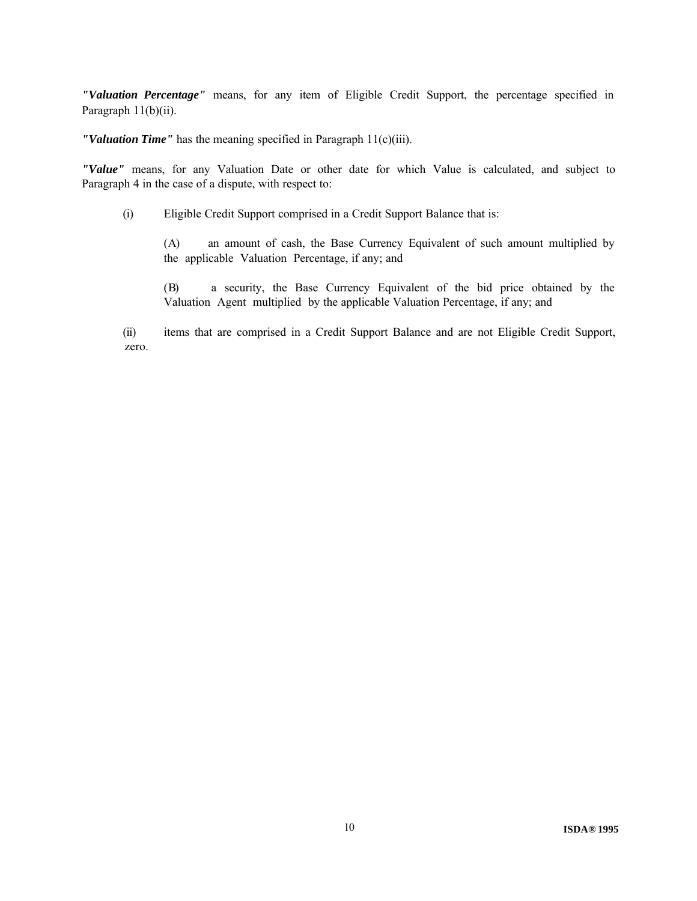*"Valuation Percentage"* means, for any item of Eligible Credit Support, the percentage specified in Paragraph 11(b)(ii).

*"Valuation Time"* has the meaning specified in Paragraph 11(c)(iii).

*"Value"* means, for any Valuation Date or other date for which Value is calculated, and subject to Paragraph 4 in the case of a dispute, with respect to:

(i) Eligible Credit Support comprised in a Credit Support Balance that is:

(A) an amount of cash, the Base Currency Equivalent of such amount multiplied by the applicable Valuation Percentage, if any; and

(B) a security, the Base Currency Equivalent of the bid price obtained by the Valuation Agent multiplied by the applicable Valuation Percentage, if any; and

(ii) items that are comprised in a Credit Support Balance and are not Eligible Credit Support, zero.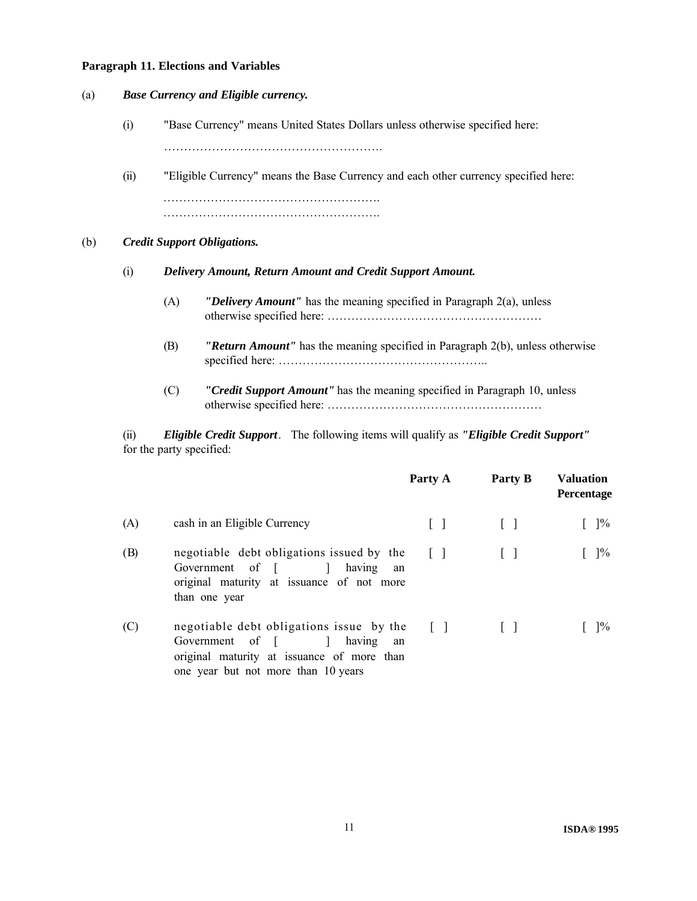#### **Paragraph 11. Elections and Variables**

# (a) *Base Currency and Eligible currency.*

(i) "Base Currency" means United States Dollars unless otherwise specified here:

……………………………………………….

(ii) "Eligible Currency" means the Base Currency and each other currency specified here: ………………………………………………. ……………………………………………….

#### (b) *Credit Support Obligations.*

- (i) *Delivery Amount, Return Amount and Credit Support Amount.*
	- (A) *"Delivery Amount"* has the meaning specified in Paragraph 2(a), unless otherwise specified here: ………………………………………………
	- (B) *"Return Amount"* has the meaning specified in Paragraph 2(b), unless otherwise specified here: ……………………………………………..
	- (C) *"Credit Support Amount"* has the meaning specified in Paragraph 10, unless otherwise specified here: ………………………………………………

(ii) *Eligible Credit Support*. The following items will qualify as *"Eligible Credit Support"* for the party specified:

|     |                                                                                                                                                                  | Party A      | Party B | <b>Valuation</b><br><b>Percentage</b> |
|-----|------------------------------------------------------------------------------------------------------------------------------------------------------------------|--------------|---------|---------------------------------------|
| (A) | cash in an Eligible Currency                                                                                                                                     | $\mathbf{1}$ | $\perp$ | $] \%$                                |
| (B) | negotiable debt obligations issued by the<br>Government of [<br>having<br>an<br>original maturity at issuance of not more<br>than one year                       | $\Box$       |         | $] \%$                                |
| (C) | negotiable debt obligations issue by the<br>having<br>Government of [<br>an<br>original maturity at issuance of more than<br>one year but not more than 10 years | $\Box$       |         | $] \%$                                |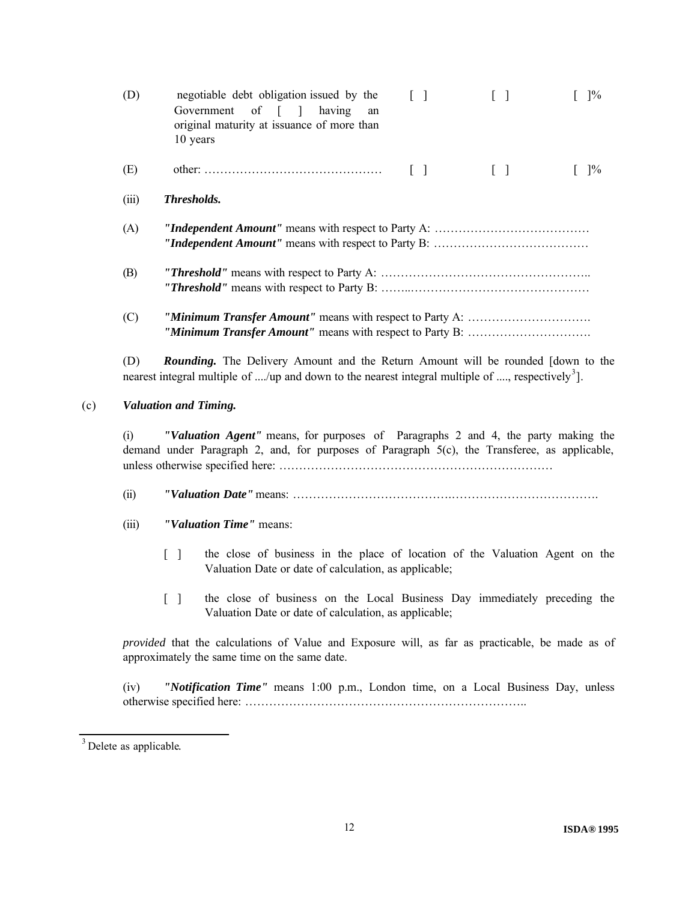| (D)   | negotiable debt obligation issued by the<br>Government of [ ] having<br>an<br>original maturity at issuance of more than<br>10 years                                                                    | $\begin{bmatrix} 1 \end{bmatrix}$ |        | $] \%$                |  |
|-------|---------------------------------------------------------------------------------------------------------------------------------------------------------------------------------------------------------|-----------------------------------|--------|-----------------------|--|
| (E)   |                                                                                                                                                                                                         |                                   | $\Box$ | $\lceil \ \ \rceil\%$ |  |
| (iii) | <i>Thresholds.</i>                                                                                                                                                                                      |                                   |        |                       |  |
| (A)   |                                                                                                                                                                                                         |                                   |        |                       |  |
| (B)   |                                                                                                                                                                                                         |                                   |        |                       |  |
| (C)   |                                                                                                                                                                                                         |                                   |        |                       |  |
| (D)   | <b>Rounding.</b> The Delivery Amount and the Return Amount will be rounded [down to the<br>nearest integral multiple of /up and down to the nearest integral multiple of , respectively <sup>3</sup> ]. |                                   |        |                       |  |

#### (c) *Valuation and Timing.*

(i) *"Valuation Agent"* means, for purposes of Paragraphs 2 and 4, the party making the demand under Paragraph 2, and, for purposes of Paragraph 5(c), the Transferee, as applicable, unless otherwise specified here: ……………………………………………………………

- (ii) *"Valuation Date"* means: ………………………………….……………………………….
- (iii) *"Valuation Time"* means:
	- [ ] the close of business in the place of location of the Valuation Agent on the Valuation Date or date of calculation, as applicable;
	- [ ] the close of business on the Local Business Day immediately preceding the Valuation Date or date of calculation, as applicable;

*provided* that the calculations of Value and Exposure will, as far as practicable, be made as of approximately the same time on the same date.

(iv) *"Notification Time"* means 1:00 p.m., London time, on a Local Business Day, unless otherwise specified here: ……………………………………………………………..

 $3$  Delete as applicable.